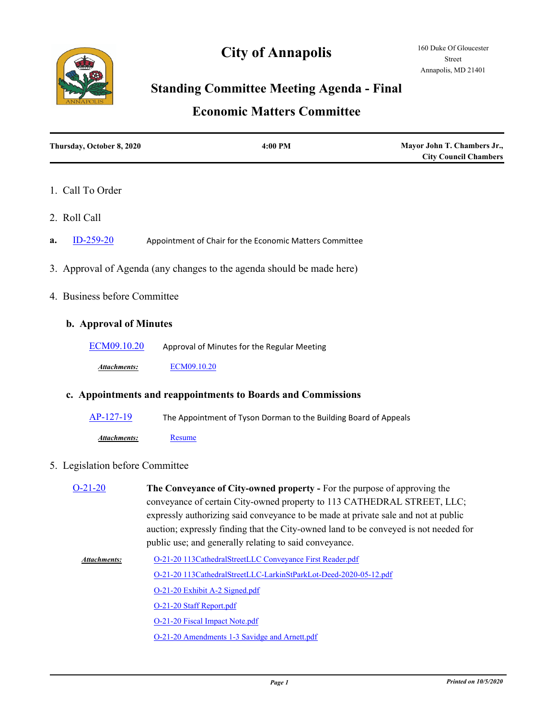# **City of Annapolis**



# **Standing Committee Meeting Agenda - Final**

# **Economic Matters Committee**

| Thursday, October 8, 2020 | 4:00 PM | Mayor John T. Chambers Jr.,  |
|---------------------------|---------|------------------------------|
|                           |         | <b>City Council Chambers</b> |

### 1. Call To Order

- 2. Roll Call
- **a.** [ID-259-20](http://annapolismd.legistar.com/gateway.aspx?m=l&id=/matter.aspx?key=4967) Appointment of Chair for the Economic Matters Committee
- 3. Approval of Agenda (any changes to the agenda should be made here)
- 4. Business before Committee

### **b. Approval of Minutes**

[ECM09.10.20](http://annapolismd.legistar.com/gateway.aspx?m=l&id=/matter.aspx?key=4968) Approval of Minutes for the Regular Meeting

*Attachments:* [ECM09.10.20](http://annapolismd.legistar.com/gateway.aspx?M=F&ID=52ee14a1-129c-428d-94c7-0bb1cf8da208.pdf)

#### **c. Appointments and reappointments to Boards and Commissions**

| AP-127-19    | The Appointment of Tyson Dorman to the Building Board of Appeals |
|--------------|------------------------------------------------------------------|
| Attachments: | Resume                                                           |

### 5. Legislation before Committee

| $O-21-20$           | The Conveyance of City-owned property - For the purpose of approving the<br>conveyance of certain City-owned property to 113 CATHEDRAL STREET, LLC;<br>expressly authorizing said conveyance to be made at private sale and not at public<br>auction; expressly finding that the City-owned land to be conveyed is not needed for<br>public use; and generally relating to said conveyance. |
|---------------------|---------------------------------------------------------------------------------------------------------------------------------------------------------------------------------------------------------------------------------------------------------------------------------------------------------------------------------------------------------------------------------------------|
| <b>Attachments:</b> | O-21-20 113CathedralStreetLLC Conveyance First Reader.pdf                                                                                                                                                                                                                                                                                                                                   |
|                     | O-21-20 113CathedralStreetLLC-LarkinStParkLot-Deed-2020-05-12.pdf                                                                                                                                                                                                                                                                                                                           |
|                     | O-21-20 Exhibit A-2 Signed.pdf                                                                                                                                                                                                                                                                                                                                                              |
|                     | O-21-20 Staff Report.pdf                                                                                                                                                                                                                                                                                                                                                                    |
|                     | O-21-20 Fiscal Impact Note.pdf                                                                                                                                                                                                                                                                                                                                                              |
|                     | O-21-20 Amendments 1-3 Savidge and Arnett.pdf                                                                                                                                                                                                                                                                                                                                               |
|                     |                                                                                                                                                                                                                                                                                                                                                                                             |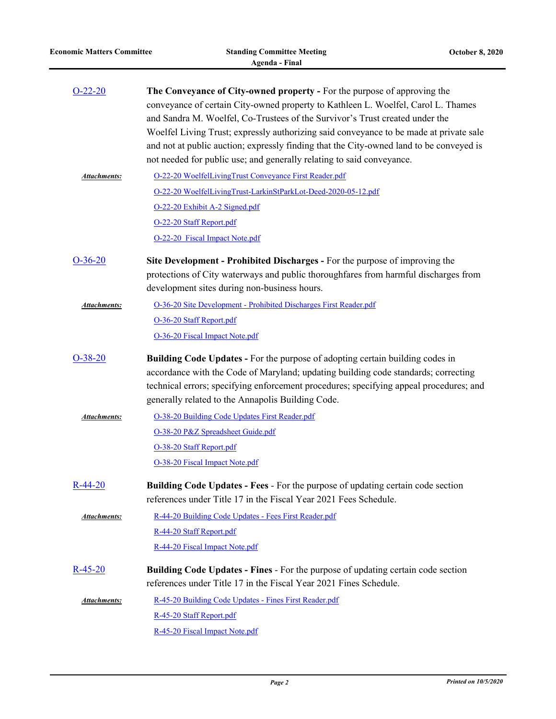| $O-22-20$           | The Conveyance of City-owned property - For the purpose of approving the<br>conveyance of certain City-owned property to Kathleen L. Woelfel, Carol L. Thames<br>and Sandra M. Woelfel, Co-Trustees of the Survivor's Trust created under the<br>Woelfel Living Trust; expressly authorizing said conveyance to be made at private sale<br>and not at public auction; expressly finding that the City-owned land to be conveyed is<br>not needed for public use; and generally relating to said conveyance. |
|---------------------|-------------------------------------------------------------------------------------------------------------------------------------------------------------------------------------------------------------------------------------------------------------------------------------------------------------------------------------------------------------------------------------------------------------------------------------------------------------------------------------------------------------|
| <u>Attachments:</u> | O-22-20 WoelfelLivingTrust Conveyance First Reader.pdf                                                                                                                                                                                                                                                                                                                                                                                                                                                      |
|                     | O-22-20 WoelfelLivingTrust-LarkinStParkLot-Deed-2020-05-12.pdf                                                                                                                                                                                                                                                                                                                                                                                                                                              |
|                     | O-22-20 Exhibit A-2 Signed.pdf                                                                                                                                                                                                                                                                                                                                                                                                                                                                              |
|                     | O-22-20 Staff Report.pdf                                                                                                                                                                                                                                                                                                                                                                                                                                                                                    |
|                     | O-22-20 Fiscal Impact Note.pdf                                                                                                                                                                                                                                                                                                                                                                                                                                                                              |
| $O-36-20$           | Site Development - Prohibited Discharges - For the purpose of improving the<br>protections of City waterways and public thoroughfares from harmful discharges from<br>development sites during non-business hours.                                                                                                                                                                                                                                                                                          |
| Attachments:        | O-36-20 Site Development - Prohibited Discharges First Reader.pdf                                                                                                                                                                                                                                                                                                                                                                                                                                           |
|                     | O-36-20 Staff Report.pdf                                                                                                                                                                                                                                                                                                                                                                                                                                                                                    |
|                     | O-36-20 Fiscal Impact Note.pdf                                                                                                                                                                                                                                                                                                                                                                                                                                                                              |
| $O-38-20$           | <b>Building Code Updates - For the purpose of adopting certain building codes in</b><br>accordance with the Code of Maryland; updating building code standards; correcting<br>technical errors; specifying enforcement procedures; specifying appeal procedures; and<br>generally related to the Annapolis Building Code.                                                                                                                                                                                   |
| <b>Attachments:</b> | O-38-20 Building Code Updates First Reader.pdf                                                                                                                                                                                                                                                                                                                                                                                                                                                              |
|                     | O-38-20 P&Z Spreadsheet Guide.pdf                                                                                                                                                                                                                                                                                                                                                                                                                                                                           |
|                     | O-38-20 Staff Report.pdf                                                                                                                                                                                                                                                                                                                                                                                                                                                                                    |
|                     | O-38-20 Fiscal Impact Note.pdf                                                                                                                                                                                                                                                                                                                                                                                                                                                                              |
| $R - 44 - 20$       | <b>Building Code Updates - Fees - For the purpose of updating certain code section</b><br>references under Title 17 in the Fiscal Year 2021 Fees Schedule.                                                                                                                                                                                                                                                                                                                                                  |
| Attachments:        | R-44-20 Building Code Updates - Fees First Reader.pdf                                                                                                                                                                                                                                                                                                                                                                                                                                                       |
|                     | R-44-20 Staff Report.pdf                                                                                                                                                                                                                                                                                                                                                                                                                                                                                    |
|                     | R-44-20 Fiscal Impact Note.pdf                                                                                                                                                                                                                                                                                                                                                                                                                                                                              |
| $R - 45 - 20$       | <b>Building Code Updates - Fines - For the purpose of updating certain code section</b><br>references under Title 17 in the Fiscal Year 2021 Fines Schedule.                                                                                                                                                                                                                                                                                                                                                |
| <b>Attachments:</b> | R-45-20 Building Code Updates - Fines First Reader.pdf                                                                                                                                                                                                                                                                                                                                                                                                                                                      |
|                     | R-45-20 Staff Report.pdf                                                                                                                                                                                                                                                                                                                                                                                                                                                                                    |
|                     | R-45-20 Fiscal Impact Note.pdf                                                                                                                                                                                                                                                                                                                                                                                                                                                                              |